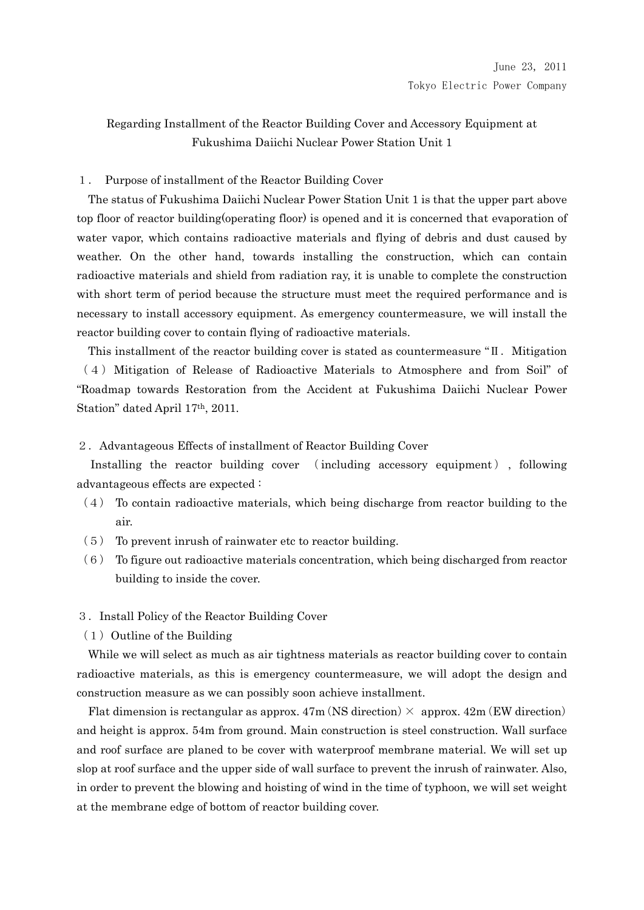# Regarding Installment of the Reactor Building Cover and Accessory Equipment at Fukushima Daiichi Nuclear Power Station Unit 1

# 1. Purpose of installment of the Reactor Building Cover

The status of Fukushima Daiichi Nuclear Power Station Unit 1 is that the upper part above top floor of reactor building(operating floor) is opened and it is concerned that evaporation of water vapor, which contains radioactive materials and flying of debris and dust caused by weather. On the other hand, towards installing the construction, which can contain radioactive materials and shield from radiation ray, it is unable to complete the construction with short term of period because the structure must meet the required performance and is necessary to install accessory equipment. As emergency countermeasure, we will install the reactor building cover to contain flying of radioactive materials.

This installment of the reactor building cover is stated as countermeasure "II. Mitigation" (4)Mitigation of Release of Radioactive Materials to Atmosphere and from Soil" of "Roadmap towards Restoration from the Accident at Fukushima Daiichi Nuclear Power Station" dated April 17th, 2011.

### 2.Advantageous Effects of installment of Reactor Building Cover

Installing the reactor building cover (including accessory equipment), following advantageous effects are expected :

- $(4)$  To contain radioactive materials, which being discharge from reactor building to the air.
- (5) To prevent inrush of rainwater etc to reactor building.
- (6) To figure out radioactive materials concentration, which being discharged from reactor building to inside the cover.

### 3.Install Policy of the Reactor Building Cover

 $(1)$  Outline of the Building

While we will select as much as air tightness materials as reactor building cover to contain radioactive materials, as this is emergency countermeasure, we will adopt the design and construction measure as we can possibly soon achieve installment.

Flat dimension is rectangular as approx.  $47m$  (NS direction)  $\times$  approx.  $42m$  (EW direction) and height is approx. 54m from ground. Main construction is steel construction. Wall surface and roof surface are planed to be cover with waterproof membrane material. We will set up slop at roof surface and the upper side of wall surface to prevent the inrush of rainwater. Also, in order to prevent the blowing and hoisting of wind in the time of typhoon, we will set weight at the membrane edge of bottom of reactor building cover.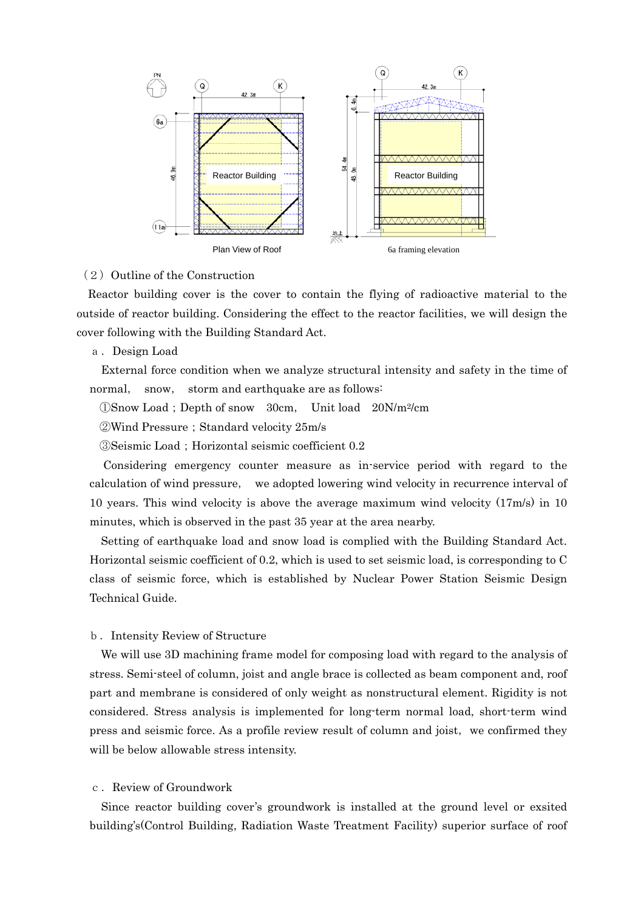

### $(2)$  Outline of the Construction

Reactor building cover is the cover to contain the flying of radioactive material to the outside of reactor building. Considering the effect to the reactor facilities, we will design the cover following with the Building Standard Act.

a.Design Load

External force condition when we analyze structural intensity and safety in the time of normal, snow, storm and earthquake are as follows:

①Snow Load;Depth of snow 30cm, Unit load 20N/m2/cm

②Wind Pressure;Standard velocity 25m/s

③Seismic Load;Horizontal seismic coefficient 0.2

Considering emergency counter measure as in-service period with regard to the calculation of wind pressure, we adopted lowering wind velocity in recurrence interval of 10 years. This wind velocity is above the average maximum wind velocity (17m/s) in 10 minutes, which is observed in the past 35 year at the area nearby.

Setting of earthquake load and snow load is complied with the Building Standard Act. Horizontal seismic coefficient of 0.2, which is used to set seismic load, is corresponding to C class of seismic force, which is established by Nuclear Power Station Seismic Design Technical Guide.

#### b.Intensity Review of Structure

We will use 3D machining frame model for composing load with regard to the analysis of stress. Semi-steel of column, joist and angle brace is collected as beam component and, roof part and membrane is considered of only weight as nonstructural element. Rigidity is not considered. Stress analysis is implemented for long-term normal load, short-term wind press and seismic force. As a profile review result of column and joist,we confirmed they will be below allowable stress intensity.

# c. Review of Groundwork

Since reactor building cover's groundwork is installed at the ground level or exsited building's(Control Building, Radiation Waste Treatment Facility) superior surface of roof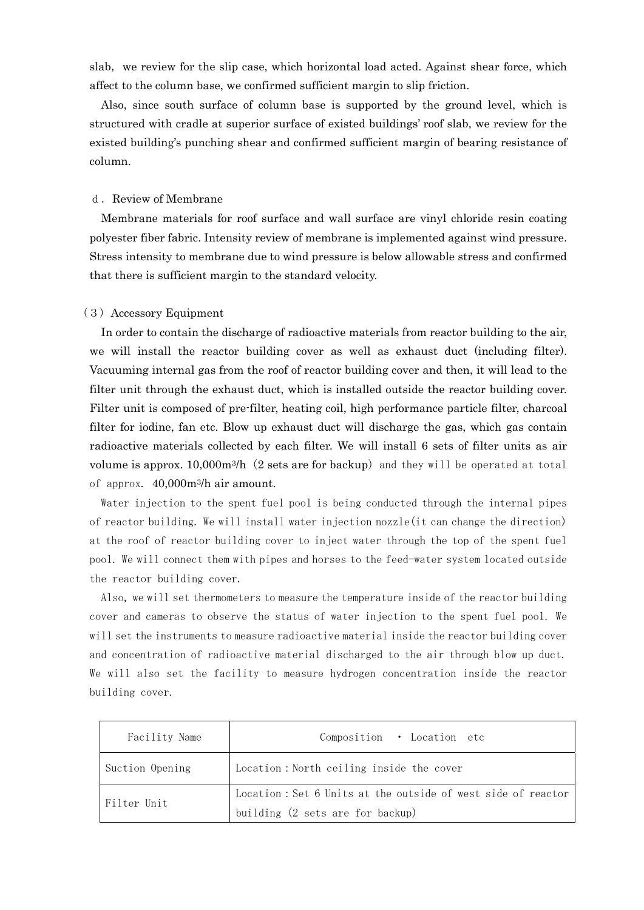slab, we review for the slip case, which horizontal load acted. Against shear force, which affect to the column base, we confirmed sufficient margin to slip friction.

Also, since south surface of column base is supported by the ground level, which is structured with cradle at superior surface of existed buildings' roof slab, we review for the existed building's punching shear and confirmed sufficient margin of bearing resistance of column.

#### d. Review of Membrane

Membrane materials for roof surface and wall surface are vinyl chloride resin coating polyester fiber fabric. Intensity review of membrane is implemented against wind pressure. Stress intensity to membrane due to wind pressure is below allowable stress and confirmed that there is sufficient margin to the standard velocity.

### (3)Accessory Equipment

In order to contain the discharge of radioactive materials from reactor building to the air, we will install the reactor building cover as well as exhaust duct (including filter). Vacuuming internal gas from the roof of reactor building cover and then, it will lead to the filter unit through the exhaust duct, which is installed outside the reactor building cover. Filter unit is composed of pre-filter, heating coil, high performance particle filter, charcoal filter for iodine, fan etc. Blow up exhaust duct will discharge the gas, which gas contain radioactive materials collected by each filter. We will install 6 sets of filter units as air volume is approx.  $10,000m^{3}/h$  (2 sets are for backup) and they will be operated at total of approx. 40,000m3/h air amount.

Water injection to the spent fuel pool is being conducted through the internal pipes of reactor building. We will install water injection nozzle(it can change the direction) at the roof of reactor building cover to inject water through the top of the spent fuel pool. We will connect them with pipes and horses to the feed-water system located outside the reactor building cover.

Also, we will set thermometers to measure the temperature inside of the reactor building cover and cameras to observe the status of water injection to the spent fuel pool. We will set the instruments to measure radioactive material inside the reactor building cover and concentration of radioactive material discharged to the air through blow up duct. We will also set the facility to measure hydrogen concentration inside the reactor building cover.

| Facility Name   | Composition • Location etc                                                                       |
|-----------------|--------------------------------------------------------------------------------------------------|
| Suction Opening | Location: North ceiling inside the cover                                                         |
| Filter Unit     | Location: Set 6 Units at the outside of west side of reactor<br>building (2 sets are for backup) |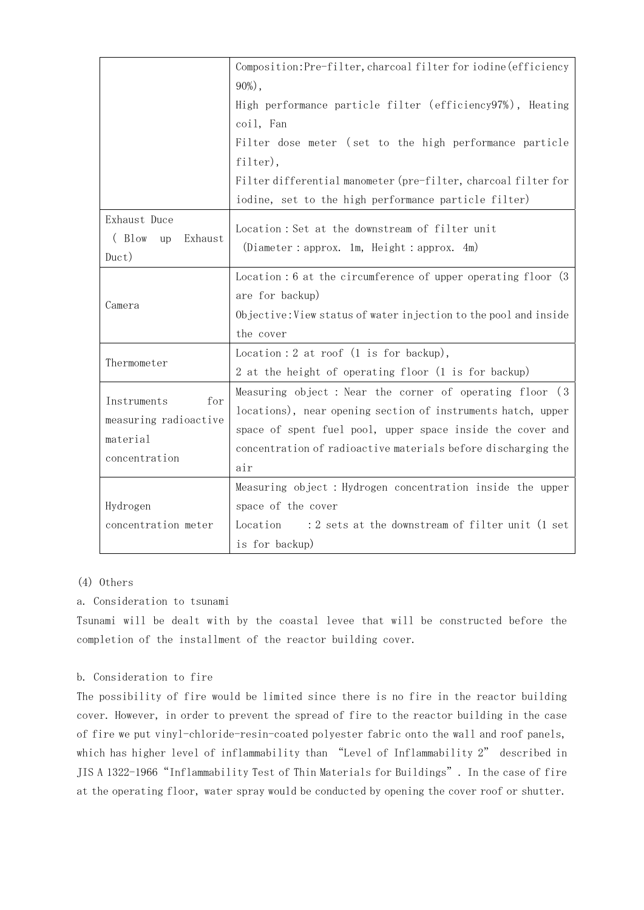|                                                                          | Composition: Pre-filter, charcoal filter for iodine (efficiency                                                                                                                                                                                                |  |  |  |  |  |  |  |  |
|--------------------------------------------------------------------------|----------------------------------------------------------------------------------------------------------------------------------------------------------------------------------------------------------------------------------------------------------------|--|--|--|--|--|--|--|--|
|                                                                          | $90\%$ ,                                                                                                                                                                                                                                                       |  |  |  |  |  |  |  |  |
|                                                                          | High performance particle filter (efficiency97%), Heating                                                                                                                                                                                                      |  |  |  |  |  |  |  |  |
|                                                                          | coil, Fan                                                                                                                                                                                                                                                      |  |  |  |  |  |  |  |  |
|                                                                          | Filter dose meter (set to the high performance particle                                                                                                                                                                                                        |  |  |  |  |  |  |  |  |
|                                                                          | filter),                                                                                                                                                                                                                                                       |  |  |  |  |  |  |  |  |
|                                                                          | Filter differential manometer (pre-filter, charcoal filter for                                                                                                                                                                                                 |  |  |  |  |  |  |  |  |
|                                                                          | iodine, set to the high performance particle filter)                                                                                                                                                                                                           |  |  |  |  |  |  |  |  |
| Exhaust Duce<br>(Blow<br>Exhaust<br>up<br>Duct)                          | Location: Set at the downstream of filter unit<br>(Diameter : approx. 1m, Height : approx. $4m$ )                                                                                                                                                              |  |  |  |  |  |  |  |  |
| Camera                                                                   | Location : 6 at the circumference of upper operating floor (3<br>are for backup)<br>Objective: View status of water injection to the pool and inside<br>the cover                                                                                              |  |  |  |  |  |  |  |  |
|                                                                          | Location : 2 at roof $(1 \text{ is for backup}),$                                                                                                                                                                                                              |  |  |  |  |  |  |  |  |
| Thermometer                                                              | 2 at the height of operating floor (1 is for backup)                                                                                                                                                                                                           |  |  |  |  |  |  |  |  |
| Instruments<br>for<br>measuring radioactive<br>material<br>concentration | Measuring object : Near the corner of operating floor (3<br>locations), near opening section of instruments hatch, upper<br>space of spent fuel pool, upper space inside the cover and<br>concentration of radioactive materials before discharging the<br>air |  |  |  |  |  |  |  |  |
|                                                                          | Measuring object : Hydrogen concentration inside the upper                                                                                                                                                                                                     |  |  |  |  |  |  |  |  |
| Hydrogen                                                                 | space of the cover                                                                                                                                                                                                                                             |  |  |  |  |  |  |  |  |
| concentration meter                                                      | :2 sets at the downstream of filter unit (1 set<br>Location                                                                                                                                                                                                    |  |  |  |  |  |  |  |  |
|                                                                          | is for backup)                                                                                                                                                                                                                                                 |  |  |  |  |  |  |  |  |

# (4) Others

# a. Consideration to tsunami

Tsunami will be dealt with by the coastal levee that will be constructed before the completion of the installment of the reactor building cover.

# b. Consideration to fire

The possibility of fire would be limited since there is no fire in the reactor building cover. However, in order to prevent the spread of fire to the reactor building in the case of fire we put vinyl-chloride-resin-coated polyester fabric onto the wall and roof panels, which has higher level of inflammability than "Level of Inflammability 2" described in JIS A 1322-1966"Inflammability Test of Thin Materials for Buildings". In the case of fire at the operating floor, water spray would be conducted by opening the cover roof or shutter.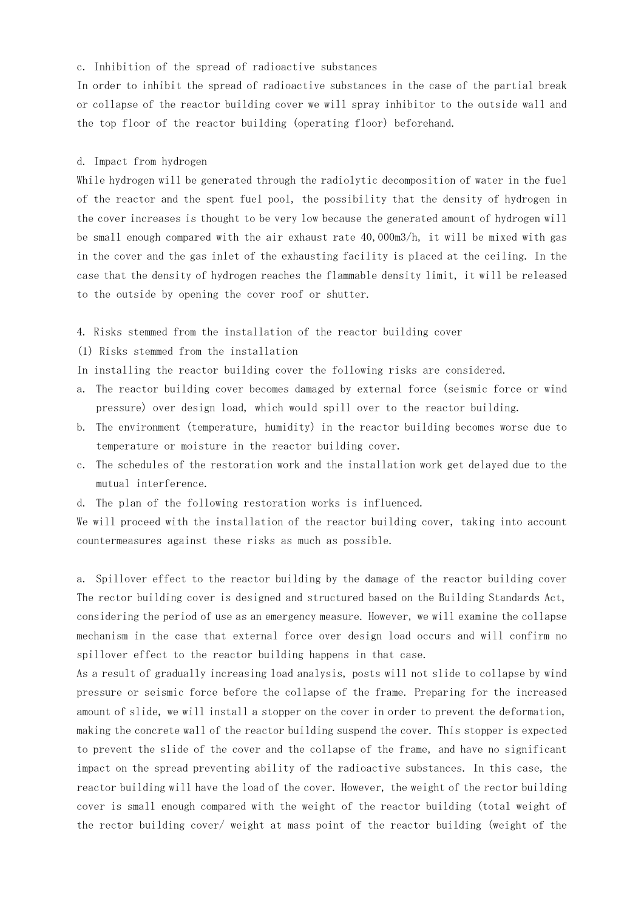#### c. Inhibition of the spread of radioactive substances

In order to inhibit the spread of radioactive substances in the case of the partial break or collapse of the reactor building cover we will spray inhibitor to the outside wall and the top floor of the reactor building (operating floor) beforehand.

#### d. Impact from hydrogen

While hydrogen will be generated through the radiolytic decomposition of water in the fuel of the reactor and the spent fuel pool, the possibility that the density of hydrogen in the cover increases is thought to be very low because the generated amount of hydrogen will be small enough compared with the air exhaust rate 40,000m3/h, it will be mixed with gas in the cover and the gas inlet of the exhausting facility is placed at the ceiling. In the case that the density of hydrogen reaches the flammable density limit, it will be released to the outside by opening the cover roof or shutter.

- 4. Risks stemmed from the installation of the reactor building cover
- (1) Risks stemmed from the installation
- In installing the reactor building cover the following risks are considered.
- a. The reactor building cover becomes damaged by external force (seismic force or wind pressure) over design load, which would spill over to the reactor building.
- b. The environment (temperature, humidity) in the reactor building becomes worse due to temperature or moisture in the reactor building cover.
- c. The schedules of the restoration work and the installation work get delayed due to the mutual interference.
- d. The plan of the following restoration works is influenced.

We will proceed with the installation of the reactor building cover, taking into account countermeasures against these risks as much as possible.

a. Spillover effect to the reactor building by the damage of the reactor building cover The rector building cover is designed and structured based on the Building Standards Act, considering the period of use as an emergency measure. However, we will examine the collapse mechanism in the case that external force over design load occurs and will confirm no spillover effect to the reactor building happens in that case.

As a result of gradually increasing load analysis, posts will not slide to collapse by wind pressure or seismic force before the collapse of the frame. Preparing for the increased amount of slide, we will install a stopper on the cover in order to prevent the deformation, making the concrete wall of the reactor building suspend the cover. This stopper is expected to prevent the slide of the cover and the collapse of the frame, and have no significant impact on the spread preventing ability of the radioactive substances. In this case, the reactor building will have the load of the cover. However, the weight of the rector building cover is small enough compared with the weight of the reactor building (total weight of the rector building cover/ weight at mass point of the reactor building (weight of the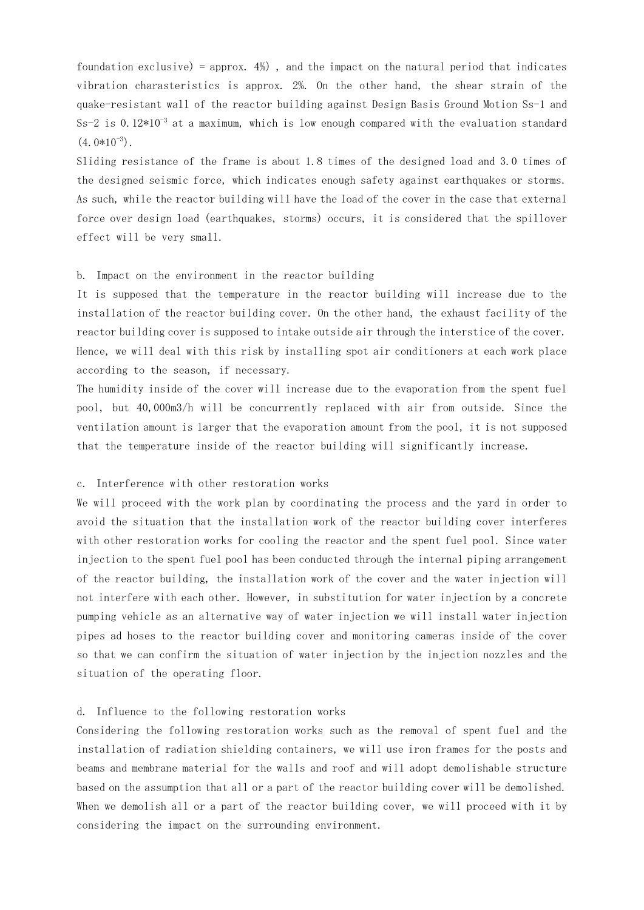foundation exclusive) = approx.  $4\%$ ), and the impact on the natural period that indicates vibration charasteristics is approx. 2%. On the other hand, the shear strain of the quake-resistant wall of the reactor building against Design Basis Ground Motion Ss-1 and Ss-2 is 0.12 $*10^{-3}$  at a maximum, which is low enough compared with the evaluation standard  $(4.0*10^{-3})$ .

Sliding resistance of the frame is about 1.8 times of the designed load and 3.0 times of the designed seismic force, which indicates enough safety against earthquakes or storms. As such, while the reactor building will have the load of the cover in the case that external force over design load (earthquakes, storms) occurs, it is considered that the spillover effect will be very small.

#### b. Impact on the environment in the reactor building

It is supposed that the temperature in the reactor building will increase due to the installation of the reactor building cover. On the other hand, the exhaust facility of the reactor building cover is supposed to intake outside air through the interstice of the cover. Hence, we will deal with this risk by installing spot air conditioners at each work place according to the season, if necessary.

The humidity inside of the cover will increase due to the evaporation from the spent fuel pool, but 40,000m3/h will be concurrently replaced with air from outside. Since the ventilation amount is larger that the evaporation amount from the pool, it is not supposed that the temperature inside of the reactor building will significantly increase.

#### c. Interference with other restoration works

We will proceed with the work plan by coordinating the process and the yard in order to avoid the situation that the installation work of the reactor building cover interferes with other restoration works for cooling the reactor and the spent fuel pool. Since water injection to the spent fuel pool has been conducted through the internal piping arrangement of the reactor building, the installation work of the cover and the water injection will not interfere with each other. However, in substitution for water injection by a concrete pumping vehicle as an alternative way of water injection we will install water injection pipes ad hoses to the reactor building cover and monitoring cameras inside of the cover so that we can confirm the situation of water injection by the injection nozzles and the situation of the operating floor.

#### d. Influence to the following restoration works

Considering the following restoration works such as the removal of spent fuel and the installation of radiation shielding containers, we will use iron frames for the posts and beams and membrane material for the walls and roof and will adopt demolishable structure based on the assumption that all or a part of the reactor building cover will be demolished. When we demolish all or a part of the reactor building cover, we will proceed with it by considering the impact on the surrounding environment.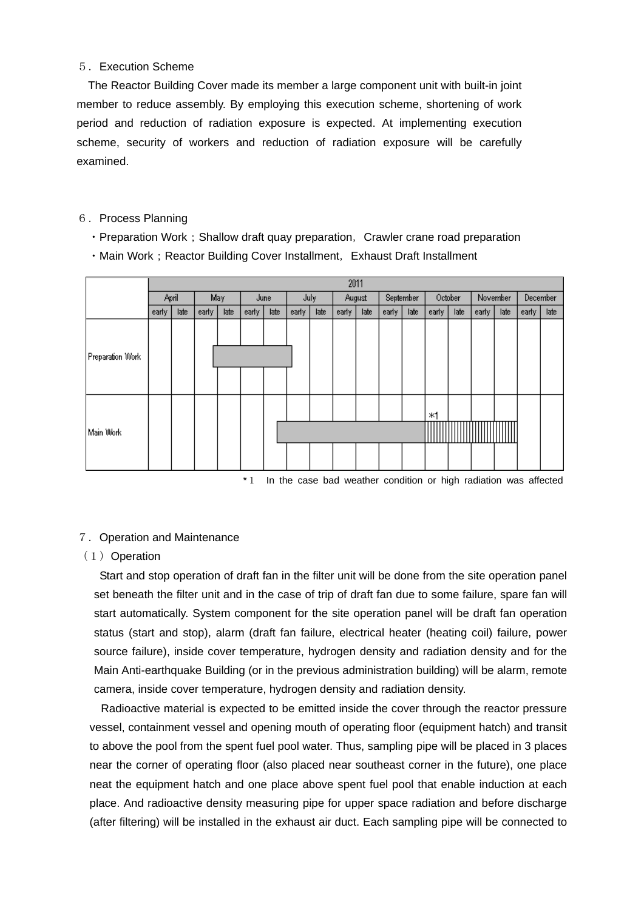### 5.Execution Scheme

The Reactor Building Cover made its member a large component unit with built-in joint member to reduce assembly. By employing this execution scheme, shortening of work period and reduction of radiation exposure is expected. At implementing execution scheme, security of workers and reduction of radiation exposure will be carefully examined.

### 6. Process Planning

- Preparation Work; Shallow draft quay preparation, Crawler crane road preparation
- Main Work; Reactor Building Cover Installment, Exhaust Draft Installment

|                  | 2011  |      |       |      |       |      |       |      |        |      |           |      |         |      |                 |      |                 |      |
|------------------|-------|------|-------|------|-------|------|-------|------|--------|------|-----------|------|---------|------|-----------------|------|-----------------|------|
|                  | April |      | May   |      | June  |      | July  |      | August |      | September |      | October |      | <b>November</b> |      | <b>December</b> |      |
|                  | early | late | early | late | early | late | early | late | early  | late | early     | late | early   | late | early           | late | early           | late |
| Preparation Work |       |      |       |      |       |      |       |      |        |      |           |      |         |      |                 |      |                 |      |
| Main Work        |       |      |       |      |       |      |       |      |        |      |           |      | ж1      |      |                 |      |                 |      |

\*1 In the case bad weather condition or high radiation was affected

# 7.Operation and Maintenance

### $(1)$  Operation

Start and stop operation of draft fan in the filter unit will be done from the site operation panel set beneath the filter unit and in the case of trip of draft fan due to some failure, spare fan will start automatically. System component for the site operation panel will be draft fan operation status (start and stop), alarm (draft fan failure, electrical heater (heating coil) failure, power source failure), inside cover temperature, hydrogen density and radiation density and for the Main Anti-earthquake Building (or in the previous administration building) will be alarm, remote camera, inside cover temperature, hydrogen density and radiation density.

Radioactive material is expected to be emitted inside the cover through the reactor pressure vessel, containment vessel and opening mouth of operating floor (equipment hatch) and transit to above the pool from the spent fuel pool water. Thus, sampling pipe will be placed in 3 places near the corner of operating floor (also placed near southeast corner in the future), one place neat the equipment hatch and one place above spent fuel pool that enable induction at each place. And radioactive density measuring pipe for upper space radiation and before discharge (after filtering) will be installed in the exhaust air duct. Each sampling pipe will be connected to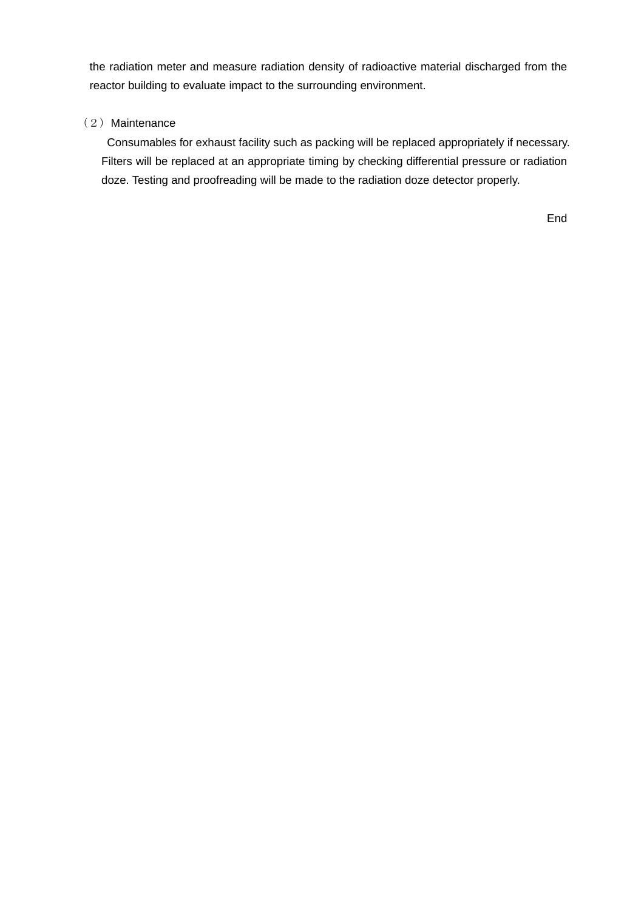the radiation meter and measure radiation density of radioactive material discharged from the reactor building to evaluate impact to the surrounding environment.

# (2) Maintenance

Consumables for exhaust facility such as packing will be replaced appropriately if necessary. Filters will be replaced at an appropriate timing by checking differential pressure or radiation doze. Testing and proofreading will be made to the radiation doze detector properly.

End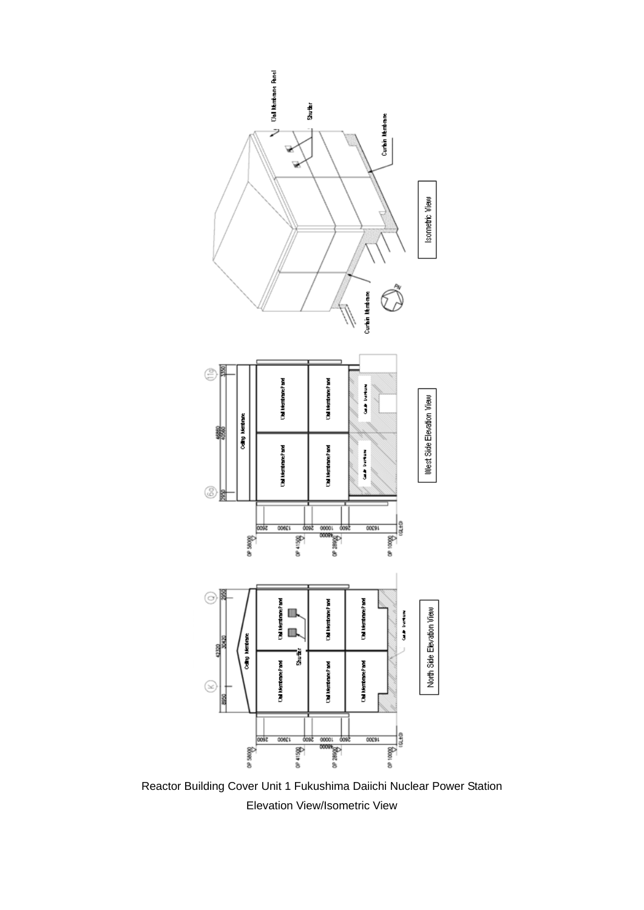

Reactor Building Cover Unit 1 Fukushima Daiichi Nuclear Power Station Elevation View/Isometric View